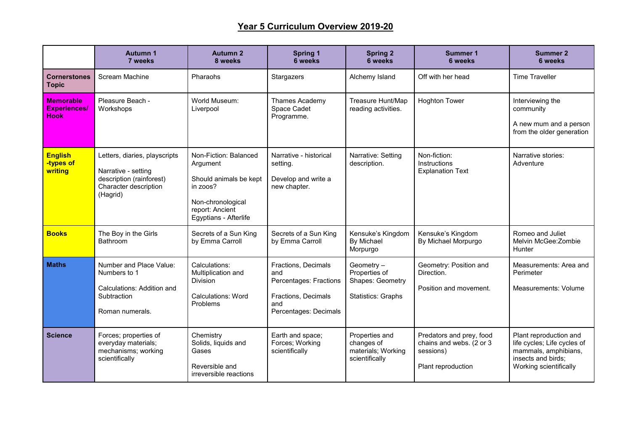## **Year 5 Curriculum Overview 2019-20**

|                                                        | <b>Autumn 1</b><br>7 weeks                                                                                            | <b>Autumn 2</b><br>8 weeks                                                                                                               | <b>Spring 1</b><br><b>6 weeks</b>                                                                           | <b>Spring 2</b><br><b>6 weeks</b>                                            | <b>Summer 1</b><br><b>6 weeks</b>                                                       | <b>Summer 2</b><br>6 weeks                                                                                                    |
|--------------------------------------------------------|-----------------------------------------------------------------------------------------------------------------------|------------------------------------------------------------------------------------------------------------------------------------------|-------------------------------------------------------------------------------------------------------------|------------------------------------------------------------------------------|-----------------------------------------------------------------------------------------|-------------------------------------------------------------------------------------------------------------------------------|
| <b>Cornerstones</b><br><b>Topic</b>                    | Scream Machine                                                                                                        | Pharaohs                                                                                                                                 | Stargazers                                                                                                  | Alchemy Island                                                               | Off with her head                                                                       | <b>Time Traveller</b>                                                                                                         |
| <b>Memorable</b><br><b>Experiences/</b><br><b>Hook</b> | Pleasure Beach -<br>Workshops                                                                                         | World Museum:<br>Liverpool                                                                                                               | Thames Academy<br>Space Cadet<br>Programme.                                                                 | Treasure Hunt/Map<br>reading activities.                                     | <b>Hoghton Tower</b>                                                                    | Interviewing the<br>community<br>A new mum and a person<br>from the older generation                                          |
| <b>English</b><br>-types of<br>writing                 | Letters, diaries, playscripts<br>Narrative - setting<br>description (rainforest)<br>Character description<br>(Hagrid) | Non-Fiction: Balanced<br>Argument<br>Should animals be kept<br>in zoos?<br>Non-chronological<br>report: Ancient<br>Egyptians - Afterlife | Narrative - historical<br>setting.<br>Develop and write a<br>new chapter.                                   | Narrative: Setting<br>description.                                           | Non-fiction:<br>Instructions<br><b>Explanation Text</b>                                 | Narrative stories:<br>Adventure                                                                                               |
| <b>Books</b>                                           | The Boy in the Girls<br><b>Bathroom</b>                                                                               | Secrets of a Sun King<br>by Emma Carroll                                                                                                 | Secrets of a Sun King<br>by Emma Carroll                                                                    | Kensuke's Kingdom<br><b>By Michael</b><br>Morpurgo                           | Kensuke's Kingdom<br>By Michael Morpurgo                                                | Romeo and Juliet<br>Melvin McGee: Zombie<br><b>Hunter</b>                                                                     |
| <b>Maths</b>                                           | Number and Place Value:<br>Numbers to 1<br>Calculations: Addition and<br>Subtraction<br>Roman numerals.               | Calculations:<br>Multiplication and<br><b>Division</b><br><b>Calculations: Word</b><br>Problems                                          | Fractions, Decimals<br>and<br>Percentages: Fractions<br>Fractions, Decimals<br>and<br>Percentages: Decimals | Geometry -<br>Properties of<br>Shapes: Geometry<br><b>Statistics: Graphs</b> | Geometry: Position and<br>Direction.<br>Position and movement.                          | Measurements: Area and<br>Perimeter<br>Measurements: Volume                                                                   |
| <b>Science</b>                                         | Forces; properties of<br>everyday materials;<br>mechanisms; working<br>scientifically                                 | Chemistry<br>Solids, liquids and<br>Gases<br>Reversible and<br>irreversible reactions                                                    | Earth and space;<br>Forces; Working<br>scientifically                                                       | Properties and<br>changes of<br>materials; Working<br>scientifically         | Predators and prey, food<br>chains and webs. (2 or 3<br>sessions)<br>Plant reproduction | Plant reproduction and<br>life cycles; Life cycles of<br>mammals, amphibians,<br>insects and birds;<br>Working scientifically |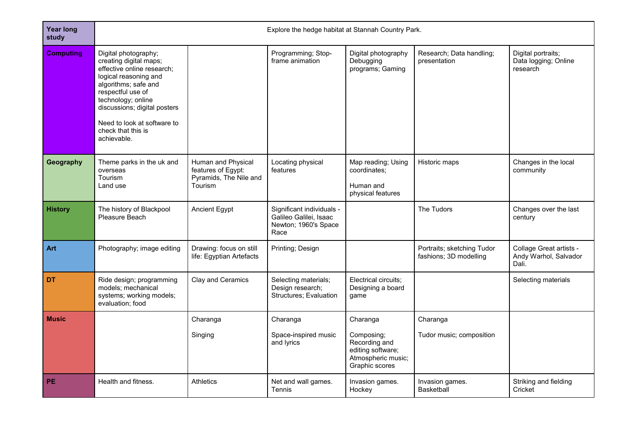| <b>Year long</b><br>study | Explore the hedge habitat at Stannah Country Park.                                                                                                                                                                                                                           |                                                                               |                                                                                     |                                                                                                      |                                                      |                                                           |  |
|---------------------------|------------------------------------------------------------------------------------------------------------------------------------------------------------------------------------------------------------------------------------------------------------------------------|-------------------------------------------------------------------------------|-------------------------------------------------------------------------------------|------------------------------------------------------------------------------------------------------|------------------------------------------------------|-----------------------------------------------------------|--|
| <b>Computing</b>          | Digital photography;<br>creating digital maps;<br>effective online research;<br>logical reasoning and<br>algorithms; safe and<br>respectful use of<br>technology; online<br>discussions; digital posters<br>Need to look at software to<br>check that this is<br>achievable. |                                                                               | Programming; Stop-<br>frame animation                                               | Digital photography<br>Debugging<br>programs; Gaming                                                 | Research; Data handling;<br>presentation             | Digital portraits;<br>Data logging; Online<br>research    |  |
| Geography                 | Theme parks in the uk and<br>overseas<br><b>Tourism</b><br>Land use                                                                                                                                                                                                          | Human and Physical<br>features of Egypt:<br>Pyramids, The Nile and<br>Tourism | Locating physical<br>features                                                       | Map reading; Using<br>coordinates:<br>Human and<br>physical features                                 | Historic maps                                        | Changes in the local<br>community                         |  |
| <b>History</b>            | The history of Blackpool<br>Pleasure Beach                                                                                                                                                                                                                                   | Ancient Egypt                                                                 | Significant individuals -<br>Galileo Galilei, Isaac<br>Newton; 1960's Space<br>Race |                                                                                                      | The Tudors                                           | Changes over the last<br>century                          |  |
| Art                       | Photography; image editing                                                                                                                                                                                                                                                   | Drawing: focus on still<br>life: Egyptian Artefacts                           | Printing; Design                                                                    |                                                                                                      | Portraits; sketching Tudor<br>fashions; 3D modelling | Collage Great artists -<br>Andy Warhol, Salvador<br>Dali. |  |
| DT                        | Ride design; programming<br>models; mechanical<br>systems; working models;<br>evaluation; food                                                                                                                                                                               | Clay and Ceramics                                                             | Selecting materials;<br>Design research;<br><b>Structures; Evaluation</b>           | Electrical circuits;<br>Designing a board<br>game                                                    |                                                      | Selecting materials                                       |  |
| <b>Music</b>              |                                                                                                                                                                                                                                                                              | Charanga<br>Singing                                                           | Charanga<br>Space-inspired music<br>and lyrics                                      | Charanga<br>Composing;<br>Recording and<br>editing software;<br>Atmospheric music;<br>Graphic scores | Charanga<br>Tudor music; composition                 |                                                           |  |
| <b>PE</b>                 | Health and fitness.                                                                                                                                                                                                                                                          | <b>Athletics</b>                                                              | Net and wall games.<br>Tennis                                                       | Invasion games.<br>Hockey                                                                            | Invasion games.<br><b>Basketball</b>                 | Striking and fielding<br>Cricket                          |  |